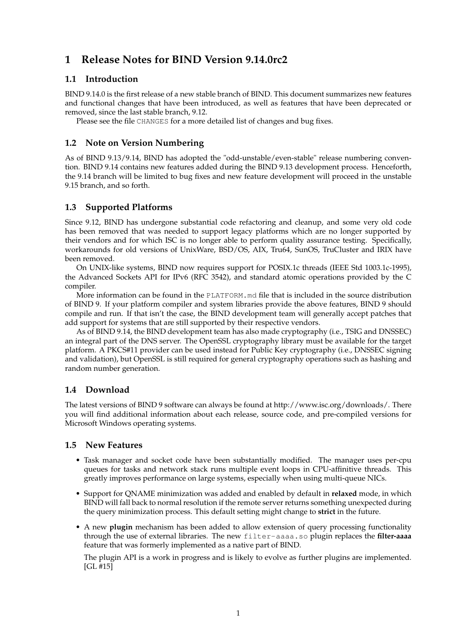# **1 Release Notes for BIND Version 9.14.0rc2**

## **1.1 Introduction**

BIND 9.14.0 is the first release of a new stable branch of BIND. This document summarizes new features and functional changes that have been introduced, as well as features that have been deprecated or removed, since the last stable branch, 9.12.

Please see the file CHANGES for a more detailed list of changes and bug fixes.

# **1.2 Note on Version Numbering**

As of BIND 9.13/9.14, BIND has adopted the "odd-unstable/even-stable" release numbering convention. BIND 9.14 contains new features added during the BIND 9.13 development process. Henceforth, the 9.14 branch will be limited to bug fixes and new feature development will proceed in the unstable 9.15 branch, and so forth.

# **1.3 Supported Platforms**

Since 9.12, BIND has undergone substantial code refactoring and cleanup, and some very old code has been removed that was needed to support legacy platforms which are no longer supported by their vendors and for which ISC is no longer able to perform quality assurance testing. Specifically, workarounds for old versions of UnixWare, BSD/OS, AIX, Tru64, SunOS, TruCluster and IRIX have been removed.

On UNIX-like systems, BIND now requires support for POSIX.1c threads (IEEE Std 1003.1c-1995), the Advanced Sockets API for IPv6 (RFC 3542), and standard atomic operations provided by the C compiler.

More information can be found in the PLATFORM.md file that is included in the source distribution of BIND 9. If your platform compiler and system libraries provide the above features, BIND 9 should compile and run. If that isn't the case, the BIND development team will generally accept patches that add support for systems that are still supported by their respective vendors.

As of BIND 9.14, the BIND development team has also made cryptography (i.e., TSIG and DNSSEC) an integral part of the DNS server. The OpenSSL cryptography library must be available for the target platform. A PKCS#11 provider can be used instead for Public Key cryptography (i.e., DNSSEC signing and validation), but OpenSSL is still required for general cryptography operations such as hashing and random number generation.

# **1.4 Download**

The latest versions of BIND 9 software can always be found at http://www.isc.org/downloads/. There you will find additional information about each release, source code, and pre-compiled versions for Microsoft Windows operating systems.

### **1.5 New Features**

- Task manager and socket code have been substantially modified. The manager uses per-cpu queues for tasks and network stack runs multiple event loops in CPU-affinitive threads. This greatly improves performance on large systems, especially when using multi-queue NICs.
- Support for QNAME minimization was added and enabled by default in **relaxed** mode, in which BIND will fall back to normal resolution if the remote server returns something unexpected during the query minimization process. This default setting might change to **strict** in the future.
- A new **plugin** mechanism has been added to allow extension of query processing functionality through the use of external libraries. The new filter-aaaa.so plugin replaces the **filter-aaaa** feature that was formerly implemented as a native part of BIND.

The plugin API is a work in progress and is likely to evolve as further plugins are implemented. [GL #15]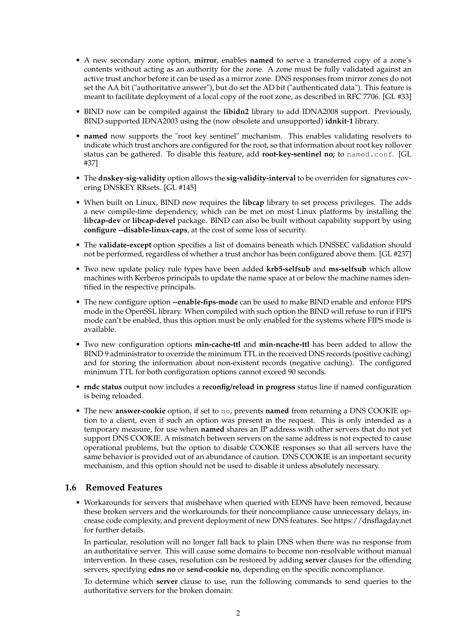- A new secondary zone option, **mirror**, enables **named** to serve a transferred copy of a zone's contents without acting as an authority for the zone. A zone must be fully validated against an active trust anchor before it can be used as a mirror zone. DNS responses from mirror zones do not set the AA bit ("authoritative answer"), but do set the AD bit ("authenticated data"). This feature is meant to facilitate deployment of a local copy of the root zone, as described in RFC 7706. [GL #33]
- BIND now can be compiled against the **libidn2** library to add IDNA2008 support. Previously, BIND supported IDNA2003 using the (now obsolete and unsupported) **idnkit-1** library.
- **named** now supports the "root key sentinel" mechanism. This enables validating resolvers to indicate which trust anchors are configured for the root, so that information about root key rollover status can be gathered. To disable this feature, add **root-key-sentinel no;** to named.conf. [GL #37]
- The **dnskey-sig-validity** option allows the **sig-validity-interval** to be overriden for signatures covering DNSKEY RRsets. [GL #145]
- When built on Linux, BIND now requires the **libcap** library to set process privileges. The adds a new compile-time dependency, which can be met on most Linux platforms by installing the **libcap-dev** or **libcap-devel** package. BIND can also be built without capability support by using **configure --disable-linux-caps**, at the cost of some loss of security.
- The **validate-except** option specifies a list of domains beneath which DNSSEC validation should not be performed, regardless of whether a trust anchor has been configured above them. [GL #237]
- Two new update policy rule types have been added **krb5-selfsub** and **ms-selfsub** which allow machines with Kerberos principals to update the name space at or below the machine names identified in the respective principals.
- The new configure option **--enable-fips-mode** can be used to make BIND enable and enforce FIPS mode in the OpenSSL library. When compiled with such option the BIND will refuse to run if FIPS mode can't be enabled, thus this option must be only enabled for the systems where FIPS mode is available.
- Two new configuration options **min-cache-ttl** and **min-ncache-ttl** has been added to allow the BIND 9 administrator to override the minimum TTL in the received DNS records (positive caching) and for storing the information about non-existent records (negative caching). The configured minimum TTL for both configuration options cannot exceed 90 seconds.
- **rndc status** output now includes a **reconfig/reload in progress** status line if named configuration is being reloaded.
- The new **answer-cookie** option, if set to no, prevents **named** from returning a DNS COOKIE option to a client, even if such an option was present in the request. This is only intended as a temporary measure, for use when **named** shares an IP address with other servers that do not yet support DNS COOKIE. A mismatch between servers on the same address is not expected to cause operational problems, but the option to disable COOKIE responses so that all servers have the same behavior is provided out of an abundance of caution. DNS COOKIE is an important security mechanism, and this option should not be used to disable it unless absolutely necessary.

#### **1.6 Removed Features**

• Workarounds for servers that misbehave when queried with EDNS have been removed, because these broken servers and the workarounds for their noncompliance cause unnecessary delays, increase code complexity, and prevent deployment of new DNS features. See https://dnsflagday.net for further details.

In particular, resolution will no longer fall back to plain DNS when there was no response from an authoritative server. This will cause some domains to become non-resolvable without manual intervention. In these cases, resolution can be restored by adding **server** clauses for the offending servers, specifying **edns no** or **send-cookie no**, depending on the specific noncompliance.

To determine which **server** clause to use, run the following commands to send queries to the authoritative servers for the broken domain: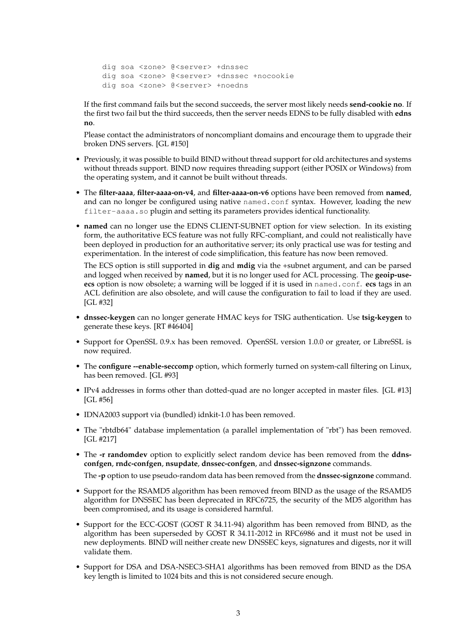dig soa <zone> @<server> +dnssec dig soa <zone> @<server> +dnssec +nocookie dig soa <zone> @<server> +noedns

If the first command fails but the second succeeds, the server most likely needs **send-cookie no**. If the first two fail but the third succeeds, then the server needs EDNS to be fully disabled with **edns no**.

Please contact the administrators of noncompliant domains and encourage them to upgrade their broken DNS servers. [GL #150]

- Previously, it was possible to build BIND without thread support for old architectures and systems without threads support. BIND now requires threading support (either POSIX or Windows) from the operating system, and it cannot be built without threads.
- The **filter-aaaa**, **filter-aaaa-on-v4**, and **filter-aaaa-on-v6** options have been removed from **named**, and can no longer be configured using native named.conf syntax. However, loading the new filter-aaaa.so plugin and setting its parameters provides identical functionality.
- **named** can no longer use the EDNS CLIENT-SUBNET option for view selection. In its existing form, the authoritative ECS feature was not fully RFC-compliant, and could not realistically have been deployed in production for an authoritative server; its only practical use was for testing and experimentation. In the interest of code simplification, this feature has now been removed.

The ECS option is still supported in **dig** and **mdig** via the +subnet argument, and can be parsed and logged when received by **named**, but it is no longer used for ACL processing. The **geoip-useecs** option is now obsolete; a warning will be logged if it is used in named.conf. **ecs** tags in an ACL definition are also obsolete, and will cause the configuration to fail to load if they are used. [GL #32]

- **dnssec-keygen** can no longer generate HMAC keys for TSIG authentication. Use **tsig-keygen** to generate these keys. [RT #46404]
- Support for OpenSSL 0.9.x has been removed. OpenSSL version 1.0.0 or greater, or LibreSSL is now required.
- The **configure --enable-seccomp** option, which formerly turned on system-call filtering on Linux, has been removed. [GL #93]
- IPv4 addresses in forms other than dotted-quad are no longer accepted in master files. [GL #13] [GL #56]
- IDNA2003 support via (bundled) idnkit-1.0 has been removed.
- The "rbtdb64" database implementation (a parallel implementation of "rbt") has been removed. [GL #217]
- The **-r randomdev** option to explicitly select random device has been removed from the **ddnsconfgen**, **rndc-confgen**, **nsupdate**, **dnssec-confgen**, and **dnssec-signzone** commands.

The **-p** option to use pseudo-random data has been removed from the **dnssec-signzone** command.

- Support for the RSAMD5 algorithm has been removed freom BIND as the usage of the RSAMD5 algorithm for DNSSEC has been deprecated in RFC6725, the security of the MD5 algorithm has been compromised, and its usage is considered harmful.
- Support for the ECC-GOST (GOST R 34.11-94) algorithm has been removed from BIND, as the algorithm has been superseded by GOST R 34.11-2012 in RFC6986 and it must not be used in new deployments. BIND will neither create new DNSSEC keys, signatures and digests, nor it will validate them.
- Support for DSA and DSA-NSEC3-SHA1 algorithms has been removed from BIND as the DSA key length is limited to 1024 bits and this is not considered secure enough.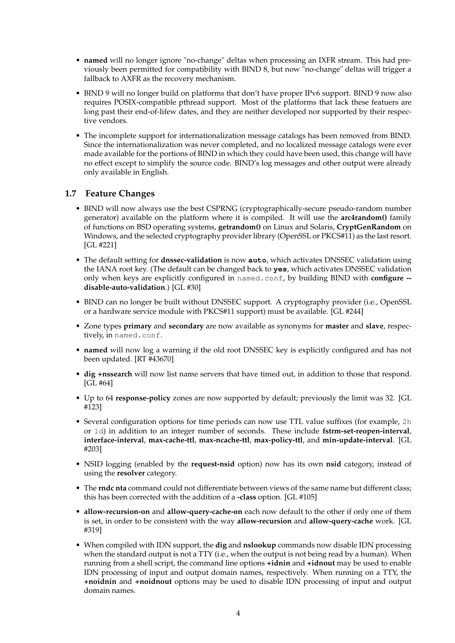- **named** will no longer ignore "no-change" deltas when processing an IXFR stream. This had previously been permitted for compatibility with BIND 8, but now "no-change" deltas will trigger a fallback to AXFR as the recovery mechanism.
- BIND 9 will no longer build on platforms that don't have proper IPv6 support. BIND 9 now also requires POSIX-compatible pthread support. Most of the platforms that lack these featuers are long past their end-of-lifew dates, and they are neither developed nor supported by their respective vendors.
- The incomplete support for internationalization message catalogs has been removed from BIND. Since the internationalization was never completed, and no localized message catalogs were ever made available for the portions of BIND in which they could have been used, this change will have no effect except to simplify the source code. BIND's log messages and other output were already only available in English.

### **1.7 Feature Changes**

- BIND will now always use the best CSPRNG (cryptographically-secure pseudo-random number generator) available on the platform where it is compiled. It will use the **arc4random()** family of functions on BSD operating systems, **getrandom()** on Linux and Solaris, **CryptGenRandom** on Windows, and the selected cryptography provider library (OpenSSL or PKCS#11) as the last resort. [GL #221]
- The default setting for **dnssec-validation** is now **auto**, which activates DNSSEC validation using the IANA root key. (The default can be changed back to **yes**, which activates DNSSEC validation only when keys are explicitly configured in named.conf, by building BIND with **configure - disable-auto-validation**.) [GL #30]
- BIND can no longer be built without DNSSEC support. A cryptography provider (i.e., OpenSSL or a hardware service module with PKCS#11 support) must be available. [GL #244]
- Zone types **primary** and **secondary** are now available as synonyms for **master** and **slave**, respectively, in named.conf.
- **named** will now log a warning if the old root DNSSEC key is explicitly configured and has not been updated. [RT #43670]
- **dig +nssearch** will now list name servers that have timed out, in addition to those that respond. [GL #64]
- Up to 64 **response-policy** zones are now supported by default; previously the limit was 32. [GL #123]
- Several configuration options for time periods can now use TTL value suffixes (for example, 2h or 1d) in addition to an integer number of seconds. These include **fstrm-set-reopen-interval**, **interface-interval**, **max-cache-ttl**, **max-ncache-ttl**, **max-policy-ttl**, and **min-update-interval**. [GL #203]
- NSID logging (enabled by the **request-nsid** option) now has its own **nsid** category, instead of using the **resolver** category.
- The **rndc nta** command could not differentiate between views of the same name but different class; this has been corrected with the addition of a **-class** option. [GL #105]
- **allow-recursion-on** and **allow-query-cache-on** each now default to the other if only one of them is set, in order to be consistent with the way **allow-recursion** and **allow-query-cache** work. [GL #319]
- When compiled with IDN support, the **dig** and **nslookup** commands now disable IDN processing when the standard output is not a TTY (i.e., when the output is not being read by a human). When running from a shell script, the command line options **+idnin** and **+idnout** may be used to enable IDN processing of input and output domain names, respectively. When running on a TTY, the **+noidnin** and **+noidnout** options may be used to disable IDN processing of input and output domain names.